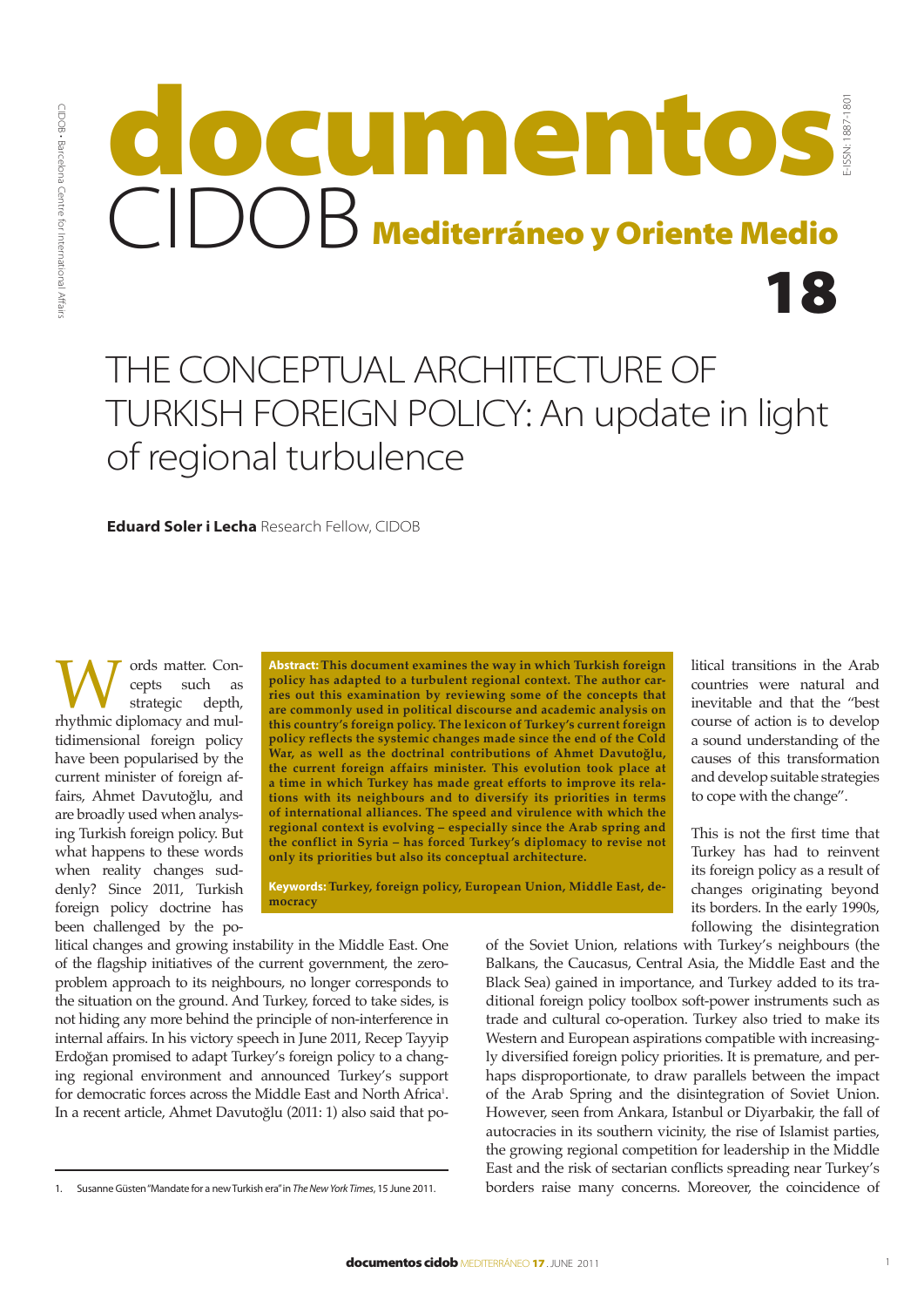# 18 E-ISSN: 1887-1801 Mediterráneo y Oriente Medio documentos CIDOB

# THE CONCEPTUAL ARCHITECTURE OF TURKISH FOREIGN POLICY: An update in light of regional turbulence

**Eduard Soler i Lecha** Research Fellow, CIDOB

Words matter. Con-<br>strategic depth,<br>rhythmic diplomacy and mulcepts such as<br>strategic depth, strategic tidimensional foreign policy have been popularised by the current minister of foreign affairs, Ahmet Davutoğlu, and are broadly used when analysing Turkish foreign policy. But what happens to these words when reality changes suddenly? Since 2011, Turkish foreign policy doctrine has been challenged by the po-

**Abstract:This document examines the way in which Turkish foreign policy has adapted to a turbulent regional context. The author carries out this examination by reviewing some of the concepts that are commonly used in political discourse and academic analysis on this country's foreign policy. The lexicon of Turkey's current foreign policy reflects the systemic changes made since the end of the Cold War, as well as the doctrinal contributions of Ahmet Davutoğlu, the current foreign affairs minister. This evolution took place at a time in which Turkey has made great efforts to improve its relations with its neighbours and to diversify its priorities in terms of international alliances. The speed and virulence with which the regional context is evolving – especially since the Arab spring and the conflict in Syria – has forced Turkey's diplomacy to revise not only its priorities but also its conceptual architecture.**

**Keywords: Turkey, foreign policy, European Union, Middle East, democracy**

litical changes and growing instability in the Middle East. One of the flagship initiatives of the current government, the zeroproblem approach to its neighbours, no longer corresponds to the situation on the ground. And Turkey, forced to take sides, is not hiding any more behind the principle of non-interference in internal affairs. In his victory speech in June 2011, Recep Tayyip Erdoğan promised to adapt Turkey's foreign policy to a changing regional environment and announced Turkey's support for democratic forces across the Middle East and North Africa<sup>1</sup>. In a recent article, Ahmet Davutoğlu (2011: 1) also said that political transitions in the Arab countries were natural and inevitable and that the "best course of action is to develop a sound understanding of the causes of this transformation and develop suitable strategies to cope with the change".

This is not the first time that Turkey has had to reinvent its foreign policy as a result of changes originating beyond its borders. In the early 1990s, following the disintegration

of the Soviet Union, relations with Turkey's neighbours (the Balkans, the Caucasus, Central Asia, the Middle East and the Black Sea) gained in importance, and Turkey added to its traditional foreign policy toolbox soft-power instruments such as trade and cultural co-operation. Turkey also tried to make its Western and European aspirations compatible with increasingly diversified foreign policy priorities. It is premature, and perhaps disproportionate, to draw parallels between the impact of the Arab Spring and the disintegration of Soviet Union. However, seen from Ankara, Istanbul or Diyarbakir, the fall of autocracies in its southern vicinity, the rise of Islamist parties, the growing regional competition for leadership in the Middle East and the risk of sectarian conflicts spreading near Turkey's borders raise many concerns. Moreover, the coincidence of

<sup>1.</sup> Susanne Güsten "Mandate for a new Turkish era" in *The New York Times*, 15 June 2011.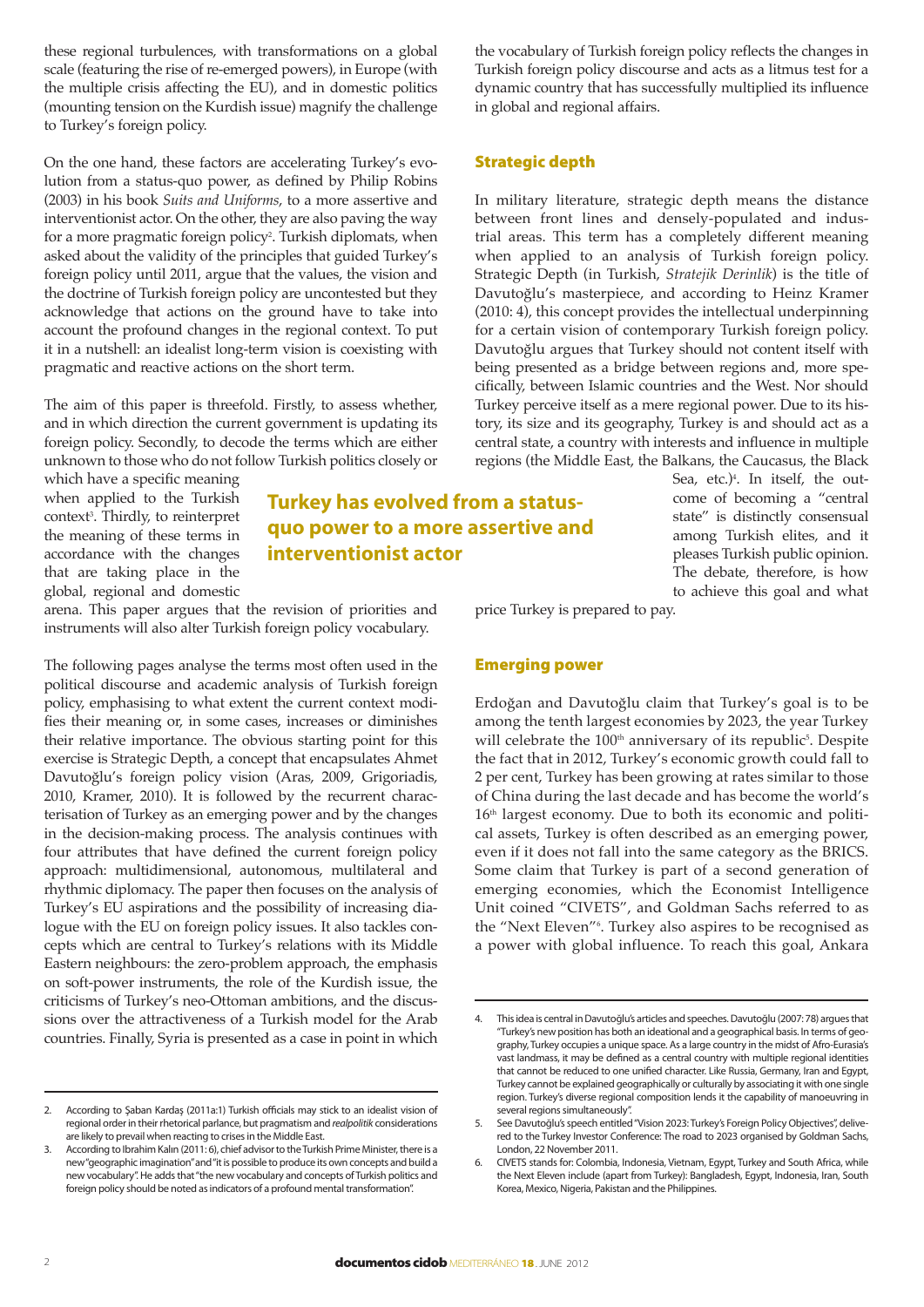these regional turbulences, with transformations on a global scale (featuring the rise of re-emerged powers), in Europe (with the multiple crisis affecting the EU), and in domestic politics (mounting tension on the Kurdish issue) magnify the challenge to Turkey's foreign policy.

On the one hand, these factors are accelerating Turkey's evolution from a status-quo power, as defined by Philip Robins (2003) in his book *Suits and Uniforms*, to a more assertive and interventionist actor. On the other, they are also paving the way for a more pragmatic foreign policy<sup>2</sup>. Turkish diplomats, when asked about the validity of the principles that guided Turkey's foreign policy until 2011, argue that the values, the vision and the doctrine of Turkish foreign policy are uncontested but they acknowledge that actions on the ground have to take into account the profound changes in the regional context. To put it in a nutshell: an idealist long-term vision is coexisting with pragmatic and reactive actions on the short term.

The aim of this paper is threefold. Firstly, to assess whether, and in which direction the current government is updating its foreign policy. Secondly, to decode the terms which are either unknown to those who do not follow Turkish politics closely or

which have a specific meaning when applied to the Turkish context<sup>3</sup> . Thirdly, to reinterpret the meaning of these terms in accordance with the changes that are taking place in the global, regional and domestic

## **Turkey has evolved from a statusquo power to a more assertive and interventionist actor**

arena. This paper argues that the revision of priorities and instruments will also alter Turkish foreign policy vocabulary.

The following pages analyse the terms most often used in the political discourse and academic analysis of Turkish foreign policy, emphasising to what extent the current context modifies their meaning or, in some cases, increases or diminishes their relative importance. The obvious starting point for this exercise is Strategic Depth, a concept that encapsulates Ahmet Davutoğlu's foreign policy vision (Aras, 2009, Grigoriadis, 2010, Kramer, 2010). It is followed by the recurrent characterisation of Turkey as an emerging power and by the changes in the decision-making process. The analysis continues with four attributes that have defined the current foreign policy approach: multidimensional, autonomous, multilateral and rhythmic diplomacy. The paper then focuses on the analysis of Turkey's EU aspirations and the possibility of increasing dialogue with the EU on foreign policy issues. It also tackles concepts which are central to Turkey's relations with its Middle Eastern neighbours: the zero-problem approach, the emphasis on soft-power instruments, the role of the Kurdish issue, the criticisms of Turkey's neo-Ottoman ambitions, and the discussions over the attractiveness of a Turkish model for the Arab countries. Finally, Syria is presented as a case in point in which

2. According to Şaban Kardaş (2011a:1) Turkish officials may stick to an idealist vision of regional order in their rhetorical parlance, but pragmatism and *realpolitik* considerations are likely to prevail when reacting to crises in the Middle East.

the vocabulary of Turkish foreign policy reflects the changes in Turkish foreign policy discourse and acts as a litmus test for a dynamic country that has successfully multiplied its influence in global and regional affairs.

## Strategic depth

In military literature, strategic depth means the distance between front lines and densely-populated and industrial areas. This term has a completely different meaning when applied to an analysis of Turkish foreign policy. Strategic Depth (in Turkish, *Stratejik Derinlik*) is the title of Davutoğlu's masterpiece, and according to Heinz Kramer (2010: 4), this concept provides the intellectual underpinning for a certain vision of contemporary Turkish foreign policy. Davutoğlu argues that Turkey should not content itself with being presented as a bridge between regions and, more specifically, between Islamic countries and the West. Nor should Turkey perceive itself as a mere regional power. Due to its history, its size and its geography, Turkey is and should act as a central state, a country with interests and influence in multiple regions (the Middle East, the Balkans, the Caucasus, the Black

> Sea, etc.)4 . In itself, the outcome of becoming a "central state" is distinctly consensual among Turkish elites, and it pleases Turkish public opinion. The debate, therefore, is how to achieve this goal and what

price Turkey is prepared to pay.

#### Emerging power

Erdoğan and Davutoğlu claim that Turkey's goal is to be among the tenth largest economies by 2023, the year Turkey will celebrate the  $100<sup>th</sup>$  anniversary of its republic<sup>5</sup>. Despite the fact that in 2012, Turkey's economic growth could fall to 2 per cent, Turkey has been growing at rates similar to those of China during the last decade and has become the world's  $16<sup>th</sup>$  largest economy. Due to both its economic and political assets, Turkey is often described as an emerging power, even if it does not fall into the same category as the BRICS. Some claim that Turkey is part of a second generation of emerging economies, which the Economist Intelligence Unit coined "CIVETS", and Goldman Sachs referred to as the "Next Eleven"6 . Turkey also aspires to be recognised as a power with global influence. To reach this goal, Ankara

According to Ibrahim Kalın (2011: 6), chief advisor to the Turkish Prime Minister, there is a new "geographic imagination" and "it is possible to produce its own concepts and build a new vocabulary". He adds that "the new vocabulary and concepts of Turkish politics and foreign policy should be noted as indicators of a profound mental transformation".

<sup>4.</sup> This idea is central in Davutoğlu's articles and speeches. Davutoğlu (2007: 78) argues that "Turkey's new position has both an ideational and a geographical basis. In terms of geography, Turkey occupies a unique space. As a large country in the midst of Afro-Eurasia's vast landmass, it may be defined as a central country with multiple regional identities that cannot be reduced to one unified character. Like Russia, Germany, Iran and Egypt, Turkey cannot be explained geographically or culturally by associating it with one single region. Turkey's diverse regional composition lends it the capability of manoeuvring in several regions simultaneously".

<sup>5.</sup> See Davutoğlu's speech entitled "Vision 2023: Turkey's Foreign Policy Objectives", delivered to the Turkey Investor Conference: The road to 2023 organised by Goldman Sachs, London, 22 November 2011.

<sup>6.</sup> CIVETS stands for: Colombia, Indonesia, Vietnam, Egypt, Turkey and South Africa, while the Next Eleven include (apart from Turkey): Bangladesh, Egypt, Indonesia, Iran, South Korea, Mexico, Nigeria, Pakistan and the Philippines.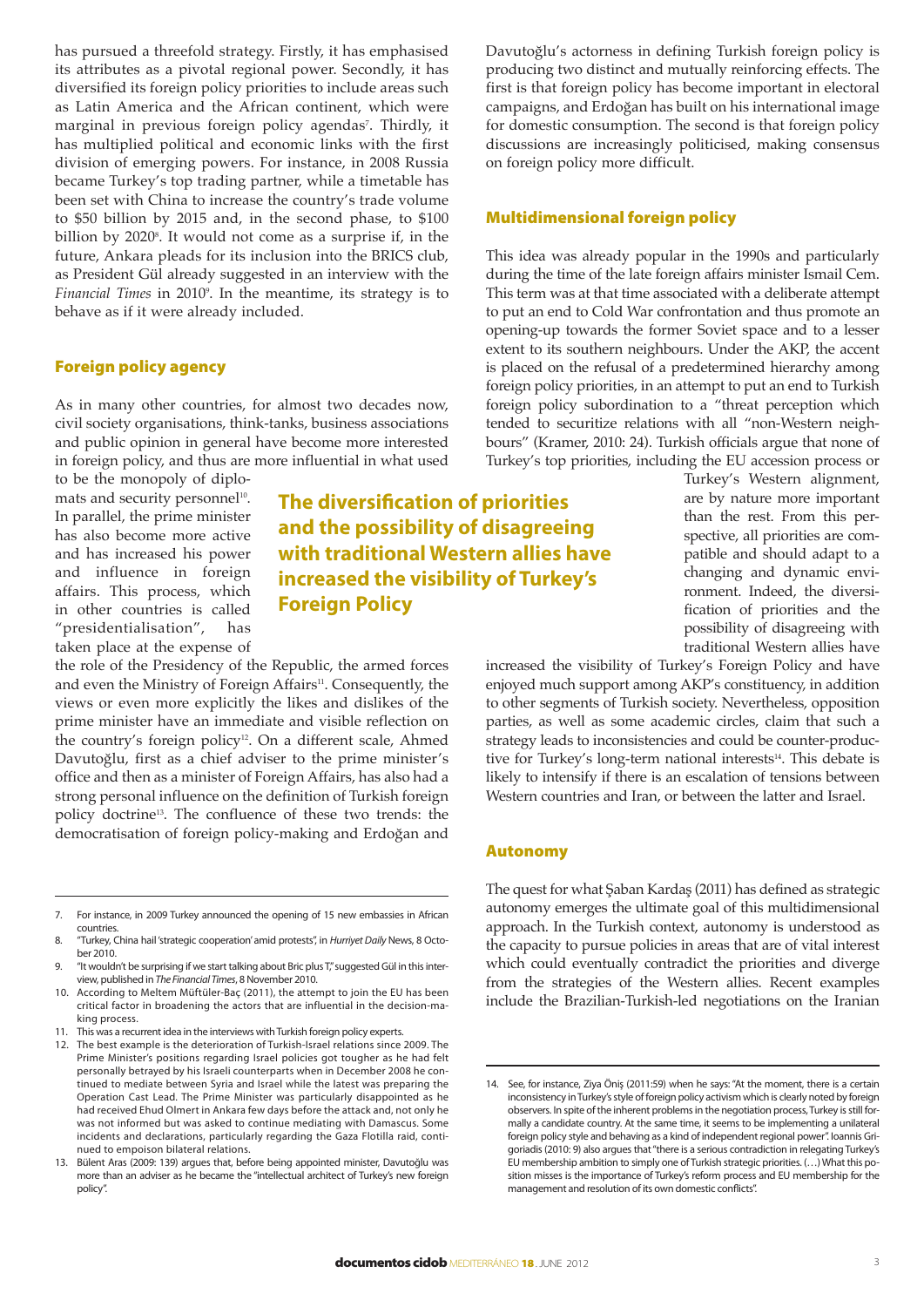has pursued a threefold strategy. Firstly, it has emphasised its attributes as a pivotal regional power. Secondly, it has diversified its foreign policy priorities to include areas such as Latin America and the African continent, which were marginal in previous foreign policy agendas<sup>7</sup>. Thirdly, it has multiplied political and economic links with the first division of emerging powers. For instance, in 2008 Russia became Turkey's top trading partner, while a timetable has been set with China to increase the country's trade volume to \$50 billion by 2015 and, in the second phase, to \$100 billion by 2020°. It would not come as a surprise if, in the future, Ankara pleads for its inclusion into the BRICS club, as President Gül already suggested in an interview with the *Financial Times* in 20109 . In the meantime, its strategy is to behave as if it were already included.

#### Foreign policy agency

As in many other countries, for almost two decades now, civil society organisations, think-tanks, business associations and public opinion in general have become more interested in foreign policy, and thus are more influential in what used

to be the monopoly of diplomats and security personnel<sup>10</sup>. In parallel, the prime minister has also become more active and has increased his power and influence in foreign affairs. This process, which in other countries is called "presidentialisation", has taken place at the expense of

the role of the Presidency of the Republic, the armed forces and even the Ministry of Foreign Affairs<sup>11</sup>. Consequently, the views or even more explicitly the likes and dislikes of the prime minister have an immediate and visible reflection on the country's foreign policy<sup>12</sup>. On a different scale, Ahmed Davutoğlu, first as a chief adviser to the prime minister's office and then as a minister of Foreign Affairs, has also had a strong personal influence on the definition of Turkish foreign policy doctrine13. The confluence of these two trends: the democratisation of foreign policy-making and Erdoğan and Davutoğlu's actorness in defining Turkish foreign policy is producing two distinct and mutually reinforcing effects. The first is that foreign policy has become important in electoral campaigns, and Erdoğan has built on his international image for domestic consumption. The second is that foreign policy discussions are increasingly politicised, making consensus on foreign policy more difficult.

#### Multidimensional foreign policy

This idea was already popular in the 1990s and particularly during the time of the late foreign affairs minister Ismail Cem. This term was at that time associated with a deliberate attempt to put an end to Cold War confrontation and thus promote an opening-up towards the former Soviet space and to a lesser extent to its southern neighbours. Under the AKP, the accent is placed on the refusal of a predetermined hierarchy among foreign policy priorities, in an attempt to put an end to Turkish foreign policy subordination to a "threat perception which tended to securitize relations with all "non-Western neighbours" (Kramer, 2010: 24). Turkish officials argue that none of Turkey's top priorities, including the EU accession process or

> Turkey's Western alignment, are by nature more important than the rest. From this perspective, all priorities are compatible and should adapt to a changing and dynamic environment. Indeed, the diversification of priorities and the possibility of disagreeing with traditional Western allies have

increased the visibility of Turkey's Foreign Policy and have enjoyed much support among AKP's constituency, in addition to other segments of Turkish society. Nevertheless, opposition parties, as well as some academic circles, claim that such a strategy leads to inconsistencies and could be counter-productive for Turkey's long-term national interests<sup>14</sup>. This debate is likely to intensify if there is an escalation of tensions between Western countries and Iran, or between the latter and Israel.

#### Autonomy

**The diversification of priorities and the possibility of disagreeing with traditional Western allies have increased the visibility of Turkey's** 

**Foreign Policy**

The quest for what Şaban Kardaş (2011) has defined as strategic autonomy emerges the ultimate goal of this multidimensional approach. In the Turkish context, autonomy is understood as the capacity to pursue policies in areas that are of vital interest which could eventually contradict the priorities and diverge from the strategies of the Western allies. Recent examples include the Brazilian-Turkish-led negotiations on the Iranian

<sup>7.</sup> For instance, in 2009 Turkey announced the opening of 15 new embassies in African countries.

<sup>8.</sup> "Turkey, China hail 'strategic cooperation' amid protests", in *Hurriyet Daily* News, 8 October 2010.

<sup>&</sup>quot;It wouldn't be surprising if we start talking about Bric plus T," suggested Gül in this interview, published in *The Financial Times*, 8 November 2010.

<sup>10.</sup> According to Meltem Müftüler-Baç (2011), the attempt to join the EU has been critical factor in broadening the actors that are influential in the decision-making process.

<sup>11.</sup> This was a recurrent idea in the interviews with Turkish foreign policy experts.

<sup>12.</sup> The best example is the deterioration of Turkish-Israel relations since 2009. The Prime Minister's positions regarding Israel policies got tougher as he had felt personally betrayed by his Israeli counterparts when in December 2008 he continued to mediate between Syria and Israel while the latest was preparing the Operation Cast Lead. The Prime Minister was particularly disappointed as he had received Ehud Olmert in Ankara few days before the attack and, not only he was not informed but was asked to continue mediating with Damascus. Some incidents and declarations, particularly regarding the Gaza Flotilla raid, continued to empoison bilateral relations.

<sup>13.</sup> Bülent Aras (2009: 139) argues that, before being appointed minister, Davutoğlu was more than an adviser as he became the "intellectual architect of Turkey's new foreign policy".

<sup>14.</sup> See, for instance, Ziya Öniş (2011:59) when he says: "At the moment, there is a certain inconsistency in Turkey's style of foreign policy activism which is clearly noted by foreign observers. In spite of the inherent problems in the negotiation process, Turkey is still formally a candidate country. At the same time, it seems to be implementing a unilateral foreign policy style and behaving as a kind of independent regional power". Ioannis Grigoriadis (2010: 9) also argues that "there is a serious contradiction in relegating Turkey's EU membership ambition to simply one of Turkish strategic priorities. (…) What this position misses is the importance of Turkey's reform process and EU membership for the management and resolution of its own domestic conflicts".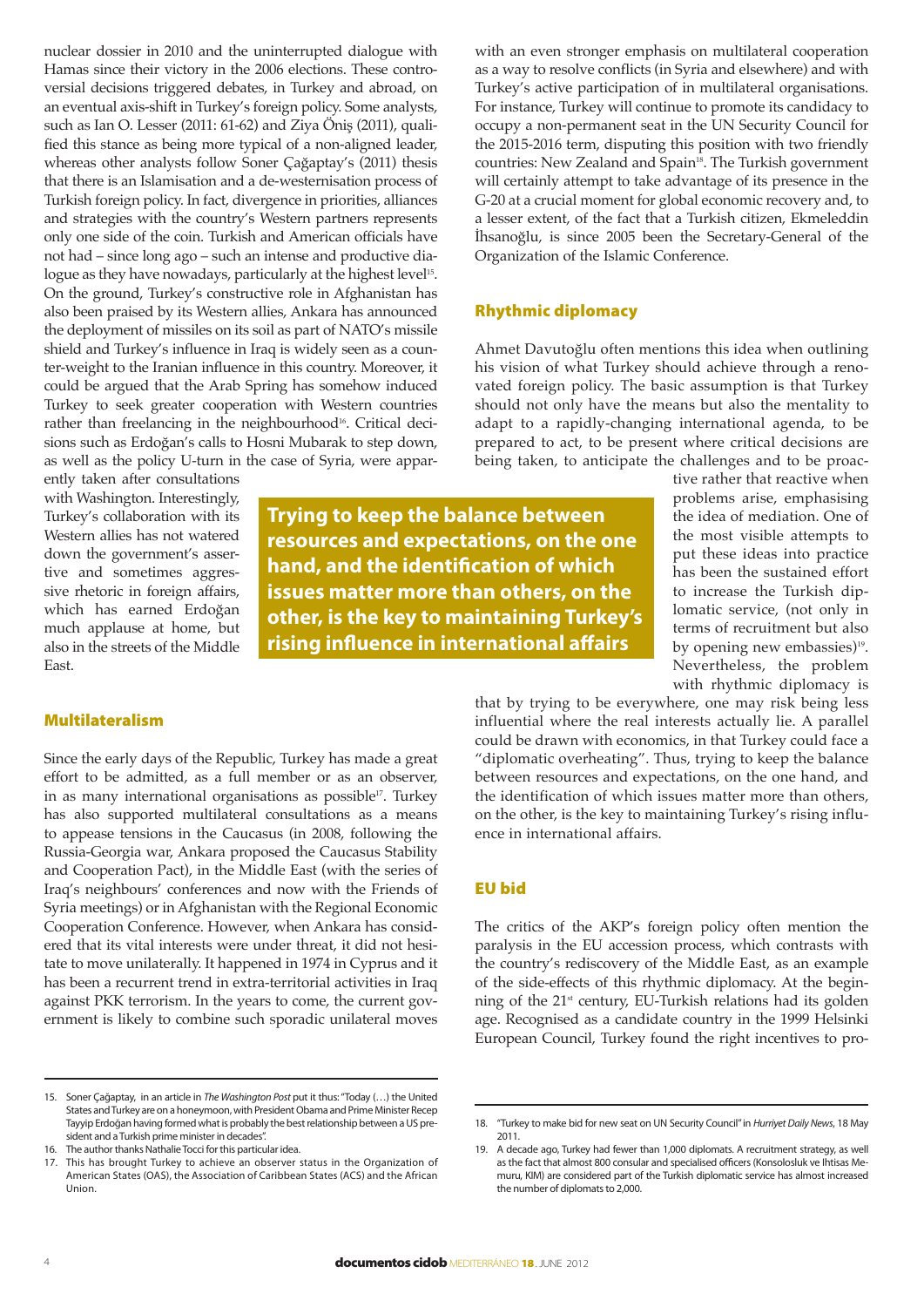nuclear dossier in 2010 and the uninterrupted dialogue with Hamas since their victory in the 2006 elections. These controversial decisions triggered debates, in Turkey and abroad, on an eventual axis-shift in Turkey's foreign policy. Some analysts, such as Ian O. Lesser (2011: 61-62) and Ziya Öniş (2011), qualified this stance as being more typical of a non-aligned leader, whereas other analysts follow Soner Çağaptay's (2011) thesis that there is an Islamisation and a de-westernisation process of Turkish foreign policy. In fact, divergence in priorities, alliances and strategies with the country's Western partners represents only one side of the coin. Turkish and American officials have not had – since long ago – such an intense and productive dialogue as they have nowadays, particularly at the highest level<sup>15</sup>. On the ground, Turkey's constructive role in Afghanistan has also been praised by its Western allies, Ankara has announced the deployment of missiles on its soil as part of NATO's missile shield and Turkey's influence in Iraq is widely seen as a counter-weight to the Iranian influence in this country. Moreover, it could be argued that the Arab Spring has somehow induced Turkey to seek greater cooperation with Western countries rather than freelancing in the neighbourhood<sup>16</sup>. Critical decisions such as Erdoğan's calls to Hosni Mubarak to step down, as well as the policy U-turn in the case of Syria, were appar-

ently taken after consultations with Washington. Interestingly, Turkey's collaboration with its Western allies has not watered down the government's assertive and sometimes aggressive rhetoric in foreign affairs, which has earned Erdoğan much applause at home, but also in the streets of the Middle East.

**Trying to keep the balance between resources and expectations, on the one hand, and the identification of which issues matter more than others, on the other, is the key to maintaining Turkey's rising influence in international affairs**

## Multilateralism

Since the early days of the Republic, Turkey has made a great effort to be admitted, as a full member or as an observer, in as many international organisations as possible $17$ . Turkey has also supported multilateral consultations as a means to appease tensions in the Caucasus (in 2008, following the Russia-Georgia war, Ankara proposed the Caucasus Stability and Cooperation Pact), in the Middle East (with the series of Iraq's neighbours' conferences and now with the Friends of Syria meetings) or in Afghanistan with the Regional Economic Cooperation Conference. However, when Ankara has considered that its vital interests were under threat, it did not hesitate to move unilaterally. It happened in 1974 in Cyprus and it has been a recurrent trend in extra-territorial activities in Iraq against PKK terrorism. In the years to come, the current government is likely to combine such sporadic unilateral moves

with an even stronger emphasis on multilateral cooperation as a way to resolve conflicts (in Syria and elsewhere) and with Turkey's active participation of in multilateral organisations. For instance, Turkey will continue to promote its candidacy to occupy a non-permanent seat in the UN Security Council for the 2015-2016 term, disputing this position with two friendly countries: New Zealand and Spain<sup>18</sup>. The Turkish government will certainly attempt to take advantage of its presence in the G-20 at a crucial moment for global economic recovery and, to a lesser extent, of the fact that a Turkish citizen, Ekmeleddin İhsanoğlu, is since 2005 been the Secretary-General of the Organization of the Islamic Conference.

## Rhythmic diplomacy

Ahmet Davutoğlu often mentions this idea when outlining his vision of what Turkey should achieve through a renovated foreign policy. The basic assumption is that Turkey should not only have the means but also the mentality to adapt to a rapidly-changing international agenda, to be prepared to act, to be present where critical decisions are being taken, to anticipate the challenges and to be proac-

tive rather that reactive when problems arise, emphasising the idea of mediation. One of the most visible attempts to put these ideas into practice has been the sustained effort to increase the Turkish diplomatic service, (not only in terms of recruitment but also by opening new embassies)<sup>19</sup>. Nevertheless, the problem with rhythmic diplomacy is

that by trying to be everywhere, one may risk being less influential where the real interests actually lie. A parallel could be drawn with economics, in that Turkey could face a "diplomatic overheating". Thus, trying to keep the balance between resources and expectations, on the one hand, and the identification of which issues matter more than others, on the other, is the key to maintaining Turkey's rising influence in international affairs.

#### EU bid

The critics of the AKP's foreign policy often mention the paralysis in the EU accession process, which contrasts with the country's rediscovery of the Middle East, as an example of the side-effects of this rhythmic diplomacy. At the beginning of the  $21<sup>st</sup>$  century, EU-Turkish relations had its golden age. Recognised as a candidate country in the 1999 Helsinki European Council, Turkey found the right incentives to pro-

<sup>15.</sup> Soner Çağaptay, in an article in *The Washington Post* put it thus: "Today (…) the United States and Turkey are on a honeymoon, with President Obama and Prime Minister Recep Tayyip Erdoğan having formed what is probably the best relationship between a US president and a Turkish prime minister in decades".

The author thanks Nathalie Tocci for this particular idea.

<sup>17.</sup> This has brought Turkey to achieve an observer status in the Organization of American States (OAS), the Association of Caribbean States (ACS) and the African Union.

<sup>18.</sup> "Turkey to make bid for new seat on UN Security Council" in *Hurriyet Daily News*, 18 May 2011.

<sup>19.</sup> A decade ago, Turkey had fewer than 1,000 diplomats. A recruitment strategy, as well as the fact that almost 800 consular and specialised officers (Konsolosluk ve Ihtisas Memuru, KIM) are considered part of the Turkish diplomatic service has almost increased the number of diplomats to 2,000.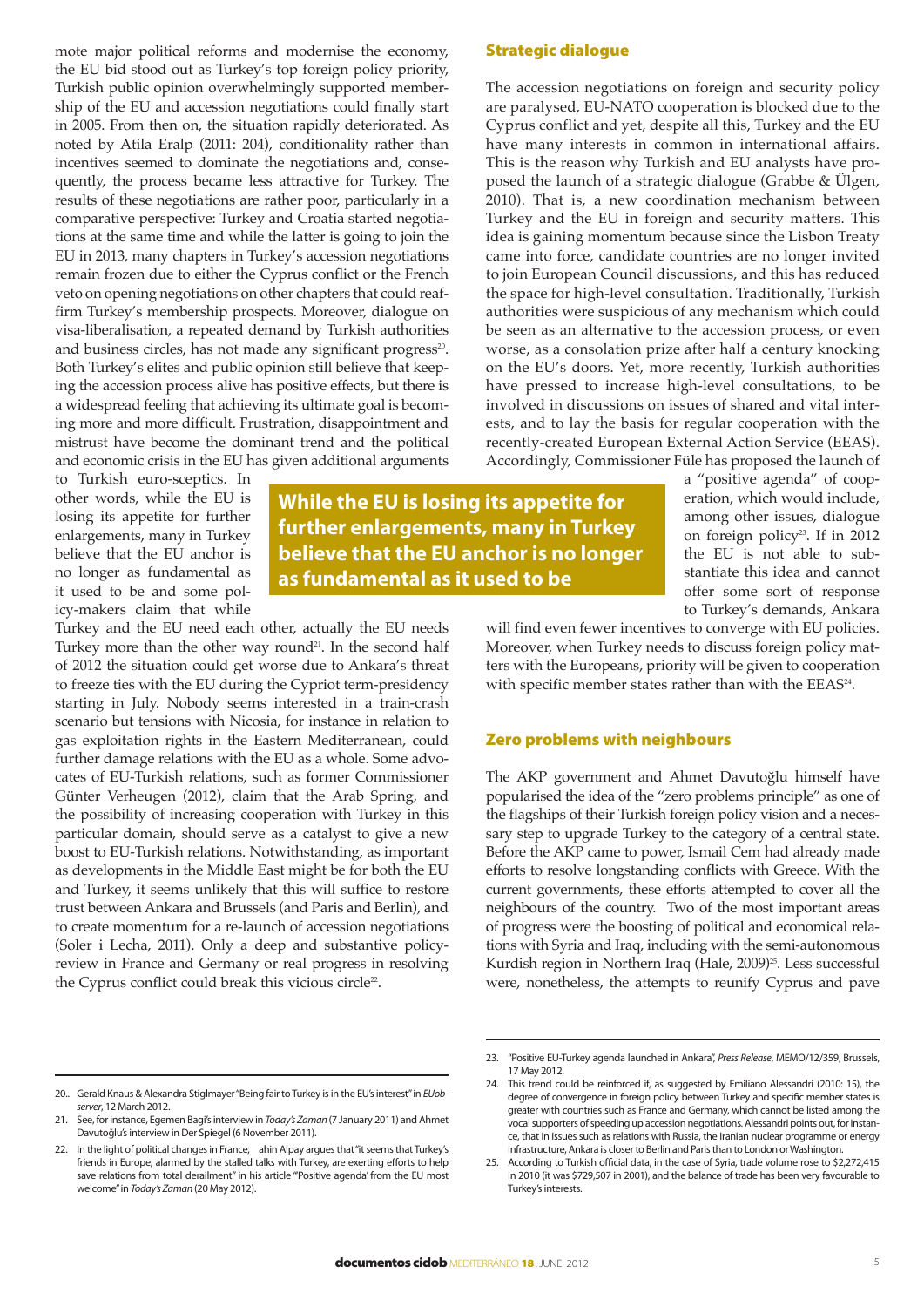mote major political reforms and modernise the economy, the EU bid stood out as Turkey's top foreign policy priority, Turkish public opinion overwhelmingly supported membership of the EU and accession negotiations could finally start in 2005. From then on, the situation rapidly deteriorated. As noted by Atila Eralp (2011: 204), conditionality rather than incentives seemed to dominate the negotiations and, consequently, the process became less attractive for Turkey. The results of these negotiations are rather poor, particularly in a comparative perspective: Turkey and Croatia started negotiations at the same time and while the latter is going to join the EU in 2013, many chapters in Turkey's accession negotiations remain frozen due to either the Cyprus conflict or the French veto on opening negotiations on other chapters that could reaffirm Turkey's membership prospects. Moreover, dialogue on visa-liberalisation, a repeated demand by Turkish authorities and business circles, has not made any significant progress<sup>20</sup>. Both Turkey's elites and public opinion still believe that keeping the accession process alive has positive effects, but there is a widespread feeling that achieving its ultimate goal is becoming more and more difficult. Frustration, disappointment and mistrust have become the dominant trend and the political and economic crisis in the EU has given additional arguments

to Turkish euro-sceptics. In other words, while the EU is losing its appetite for further enlargements, many in Turkey believe that the EU anchor is no longer as fundamental as it used to be and some policy-makers claim that while

Turkey and the EU need each other, actually the EU needs Turkey more than the other way round<sup>21</sup>. In the second half of 2012 the situation could get worse due to Ankara's threat to freeze ties with the EU during the Cypriot term-presidency starting in July. Nobody seems interested in a train-crash scenario but tensions with Nicosia, for instance in relation to gas exploitation rights in the Eastern Mediterranean, could further damage relations with the EU as a whole. Some advocates of EU-Turkish relations, such as former Commissioner Günter Verheugen (2012), claim that the Arab Spring, and the possibility of increasing cooperation with Turkey in this particular domain, should serve as a catalyst to give a new boost to EU-Turkish relations. Notwithstanding, as important as developments in the Middle East might be for both the EU and Turkey, it seems unlikely that this will suffice to restore trust between Ankara and Brussels (and Paris and Berlin), and to create momentum for a re-launch of accession negotiations (Soler i Lecha, 2011). Only a deep and substantive policyreview in France and Germany or real progress in resolving the Cyprus conflict could break this vicious circle<sup>22</sup>.

#### Strategic dialogue

The accession negotiations on foreign and security policy are paralysed, EU-NATO cooperation is blocked due to the Cyprus conflict and yet, despite all this, Turkey and the EU have many interests in common in international affairs. This is the reason why Turkish and EU analysts have proposed the launch of a strategic dialogue (Grabbe & Ülgen, 2010). That is, a new coordination mechanism between Turkey and the EU in foreign and security matters. This idea is gaining momentum because since the Lisbon Treaty came into force, candidate countries are no longer invited to join European Council discussions, and this has reduced the space for high-level consultation. Traditionally, Turkish authorities were suspicious of any mechanism which could be seen as an alternative to the accession process, or even worse, as a consolation prize after half a century knocking on the EU's doors. Yet, more recently, Turkish authorities have pressed to increase high-level consultations, to be involved in discussions on issues of shared and vital interests, and to lay the basis for regular cooperation with the recently-created European External Action Service (EEAS). Accordingly, Commissioner Füle has proposed the launch of

> a "positive agenda" of cooperation, which would include, among other issues, dialogue on foreign policy<sup>23</sup>. If in 2012 the EU is not able to substantiate this idea and cannot offer some sort of response to Turkey's demands, Ankara

will find even fewer incentives to converge with EU policies. Moreover, when Turkey needs to discuss foreign policy matters with the Europeans, priority will be given to cooperation with specific member states rather than with the EEAS<sup>24</sup>.

#### Zero problems with neighbours

The AKP government and Ahmet Davutoğlu himself have popularised the idea of the "zero problems principle" as one of the flagships of their Turkish foreign policy vision and a necessary step to upgrade Turkey to the category of a central state. Before the AKP came to power, Ismail Cem had already made efforts to resolve longstanding conflicts with Greece. With the current governments, these efforts attempted to cover all the neighbours of the country. Two of the most important areas of progress were the boosting of political and economical relations with Syria and Iraq, including with the semi-autonomous Kurdish region in Northern Iraq (Hale, 2009)<sup>25</sup>. Less successful were, nonetheless, the attempts to reunify Cyprus and pave

**While the EU is losing its appetite for further enlargements, many in Turkey believe that the EU anchor is no longer** 

**as fundamental as it used to be**

<sup>21.</sup> See, for instance, Egemen Bagi's interview in *Today's Zaman* (7 January 2011) and Ahmet Davutoğlu's interview in Der Spiegel (6 November 2011).

<sup>22.</sup> In the light of political changes in France, ahin Alpay argues that "it seems that Turkey's friends in Europe, alarmed by the stalled talks with Turkey, are exerting efforts to help save relations from total derailment" in his article "'Positive agenda' from the EU most welcome" in *Today's Zaman* (20 May 2012).

<sup>23.</sup> "Positive EU-Turkey agenda launched in Ankara", *Press Release*, MEMO/12/359, Brussels, 17 May 2012.

<sup>24.</sup> This trend could be reinforced if, as suggested by Emiliano Alessandri (2010: 15), the degree of convergence in foreign policy between Turkey and specific member states is greater with countries such as France and Germany, which cannot be listed among the vocal supporters of speeding up accession negotiations. Alessandri points out, for instance, that in issues such as relations with Russia, the Iranian nuclear programme or energy infrastructure, Ankara is closer to Berlin and Paris than to London or Washington.

<sup>25.</sup> According to Turkish official data, in the case of Syria, trade volume rose to \$2,272,415 in 2010 (it was \$729,507 in 2001), and the balance of trade has been very favourable to Turkey's interests.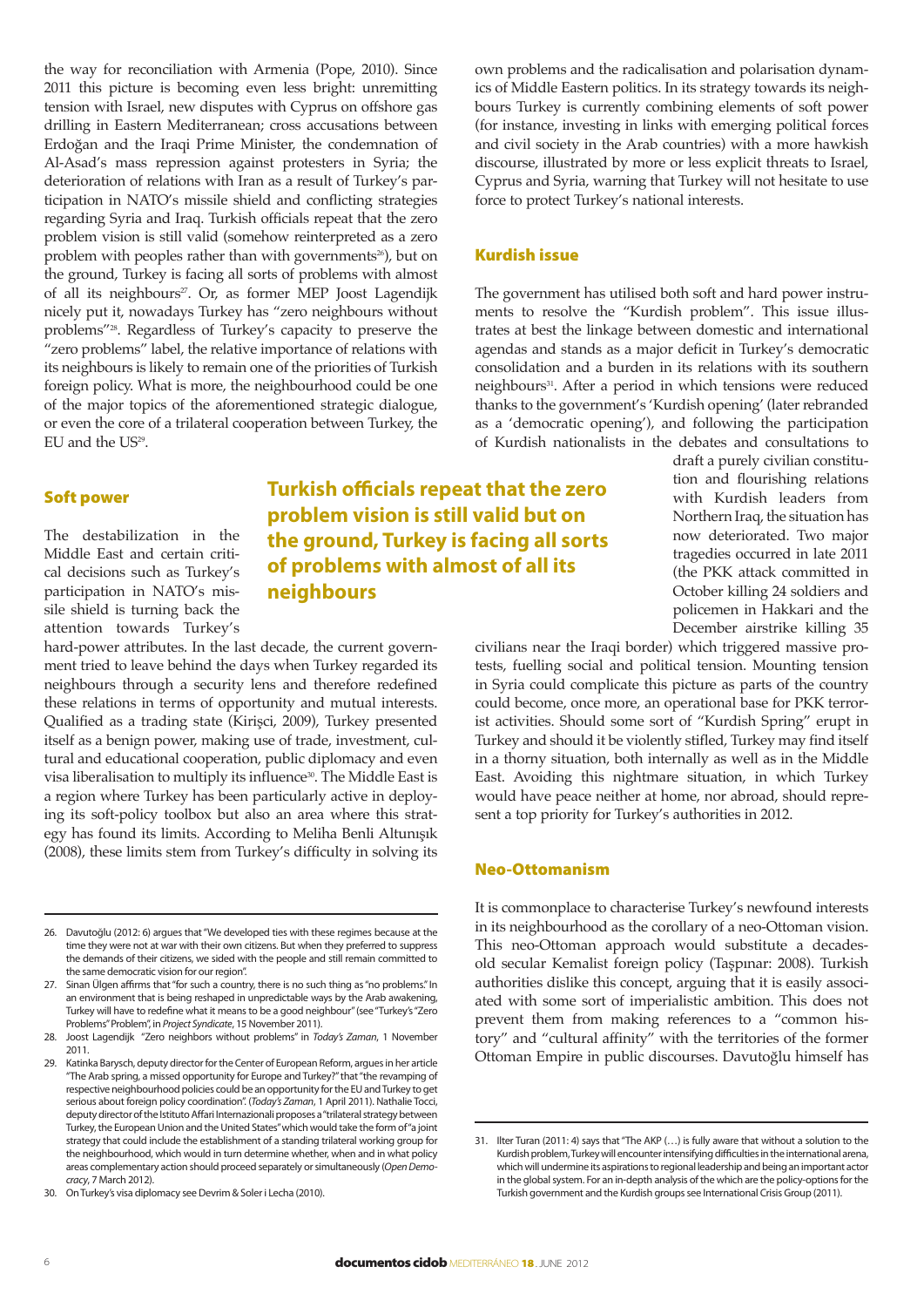the way for reconciliation with Armenia (Pope, 2010). Since 2011 this picture is becoming even less bright: unremitting tension with Israel, new disputes with Cyprus on offshore gas drilling in Eastern Mediterranean; cross accusations between Erdoğan and the Iraqi Prime Minister, the condemnation of Al-Asad's mass repression against protesters in Syria; the deterioration of relations with Iran as a result of Turkey's participation in NATO's missile shield and conflicting strategies regarding Syria and Iraq. Turkish officials repeat that the zero problem vision is still valid (somehow reinterpreted as a zero problem with peoples rather than with governments<sup>26</sup>), but on the ground, Turkey is facing all sorts of problems with almost of all its neighbours<sup>27</sup>. Or, as former MEP Joost Lagendijk nicely put it, nowadays Turkey has "zero neighbours without problems"28. Regardless of Turkey's capacity to preserve the "zero problems" label, the relative importance of relations with its neighbours is likely to remain one of the priorities of Turkish foreign policy. What is more, the neighbourhood could be one of the major topics of the aforementioned strategic dialogue, or even the core of a trilateral cooperation between Turkey, the EU and the US<sup>29</sup>.

#### Soft power

The destabilization in the Middle East and certain critical decisions such as Turkey's participation in NATO's missile shield is turning back the attention towards Turkey's

hard-power attributes. In the last decade, the current government tried to leave behind the days when Turkey regarded its neighbours through a security lens and therefore redefined these relations in terms of opportunity and mutual interests. Qualified as a trading state (Kirişci, 2009), Turkey presented itself as a benign power, making use of trade, investment, cultural and educational cooperation, public diplomacy and even visa liberalisation to multiply its influence<sup>30</sup>. The Middle East is a region where Turkey has been particularly active in deploying its soft-policy toolbox but also an area where this strategy has found its limits. According to Meliha Benli Altunışık (2008), these limits stem from Turkey's difficulty in solving its

26. Davutoğlu (2012: 6) argues that "We developed ties with these regimes because at the time they were not at war with their own citizens. But when they preferred to suppress the demands of their citizens, we sided with the people and still remain committed to the same democratic vision for our region".

27. Sinan Ülgen affirms that "for such a country, there is no such thing as "no problems." In an environment that is being reshaped in unpredictable ways by the Arab awakening, Turkey will have to redefine what it means to be a good neighbour" (see "Turkey's "Zero Problems" Problem", in *Project Syndicate*, 15 November 2011).

28. Joost Lagendijk "Zero neighbors without problems" in *Today's Zaman*, 1 November 2011.

29. Katinka Barysch, deputy director for the Center of European Reform, argues in her article "The Arab spring, a missed opportunity for Europe and Turkey?" that "the revamping of respective neighbourhood policies could be an opportunity for the EU and Turkey to get serious about foreign policy coordination". (*Today's Zaman*, 1 April 2011). Nathalie Tocci, deputy director of the Istituto Affari Internazionali proposes a "trilateral strategy between Turkey, the European Union and the United States" which would take the form of "a joint strategy that could include the establishment of a standing trilateral working group for the neighbourhood, which would in turn determine whether, when and in what policy areas complementary action should proceed separately or simultaneously (*Open Democracy*, 7 March 2012).

30. On Turkey's visa diplomacy see Devrim & Soler i Lecha (2010).

**Turkish officials repeat that the zero problem vision is still valid but on the ground, Turkey is facing all sorts of problems with almost of all its neighbours**

own problems and the radicalisation and polarisation dynamics of Middle Eastern politics. In its strategy towards its neighbours Turkey is currently combining elements of soft power (for instance, investing in links with emerging political forces and civil society in the Arab countries) with a more hawkish discourse, illustrated by more or less explicit threats to Israel, Cyprus and Syria, warning that Turkey will not hesitate to use force to protect Turkey's national interests.

#### Kurdish issue

The government has utilised both soft and hard power instruments to resolve the "Kurdish problem". This issue illustrates at best the linkage between domestic and international agendas and stands as a major deficit in Turkey's democratic consolidation and a burden in its relations with its southern neighbours<sup>31</sup>. After a period in which tensions were reduced thanks to the government's 'Kurdish opening' (later rebranded as a 'democratic opening'), and following the participation of Kurdish nationalists in the debates and consultations to

draft a purely civilian constitution and flourishing relations with Kurdish leaders from Northern Iraq, the situation has now deteriorated. Two major tragedies occurred in late 2011 (the PKK attack committed in October killing 24 soldiers and policemen in Hakkari and the December airstrike killing 35

civilians near the Iraqi border) which triggered massive protests, fuelling social and political tension. Mounting tension in Syria could complicate this picture as parts of the country could become, once more, an operational base for PKK terrorist activities. Should some sort of "Kurdish Spring" erupt in Turkey and should it be violently stifled, Turkey may find itself in a thorny situation, both internally as well as in the Middle East. Avoiding this nightmare situation, in which Turkey would have peace neither at home, nor abroad, should represent a top priority for Turkey's authorities in 2012.

#### Neo-Ottomanism

It is commonplace to characterise Turkey's newfound interests in its neighbourhood as the corollary of a neo-Ottoman vision. This neo-Ottoman approach would substitute a decadesold secular Kemalist foreign policy (Taşpınar: 2008). Turkish authorities dislike this concept, arguing that it is easily associated with some sort of imperialistic ambition. This does not prevent them from making references to a "common history" and "cultural affinity" with the territories of the former Ottoman Empire in public discourses. Davutoğlu himself has

<sup>31.</sup> Ilter Turan (2011: 4) says that "The AKP (…) is fully aware that without a solution to the Kurdish problem, Turkey will encounter intensifying difficulties in the international arena, which will undermine its aspirations to regional leadership and being an important actor in the global system. For an in-depth analysis of the which are the policy-options for the Turkish government and the Kurdish groups see International Crisis Group (2011).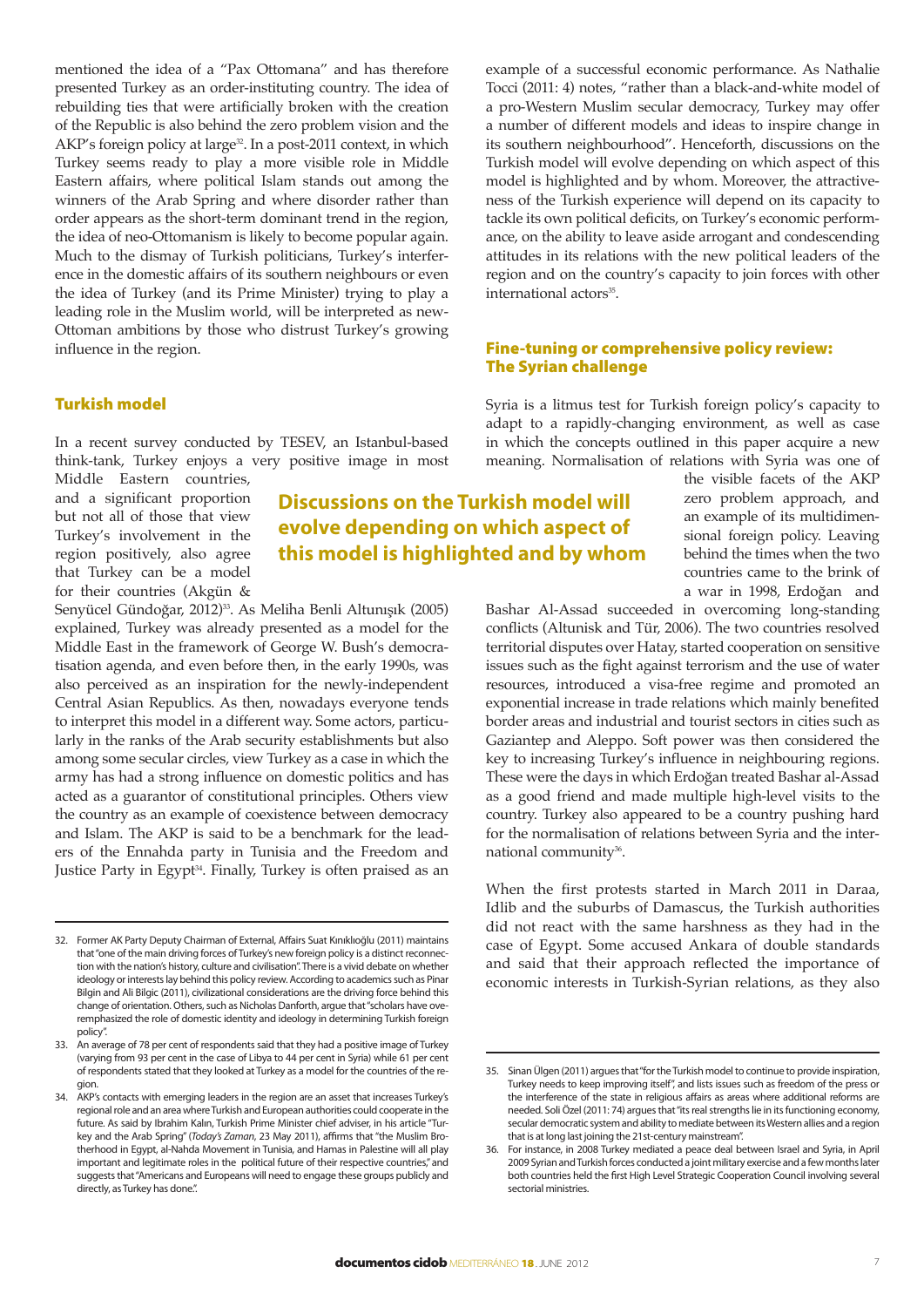mentioned the idea of a "Pax Ottomana" and has therefore presented Turkey as an order-instituting country. The idea of rebuilding ties that were artificially broken with the creation of the Republic is also behind the zero problem vision and the AKP's foreign policy at large<sup>32</sup>. In a post-2011 context, in which Turkey seems ready to play a more visible role in Middle Eastern affairs, where political Islam stands out among the winners of the Arab Spring and where disorder rather than order appears as the short-term dominant trend in the region, the idea of neo-Ottomanism is likely to become popular again. Much to the dismay of Turkish politicians, Turkey's interference in the domestic affairs of its southern neighbours or even the idea of Turkey (and its Prime Minister) trying to play a leading role in the Muslim world, will be interpreted as new-Ottoman ambitions by those who distrust Turkey's growing influence in the region.

## Turkish model

In a recent survey conducted by TESEV, an Istanbul-based think-tank, Turkey enjoys a very positive image in most

Middle Eastern countries, and a significant proportion but not all of those that view Turkey's involvement in the region positively, also agree that Turkey can be a model for their countries (Akgün &

Senyücel Gündoğar, 2012)<sup>33</sup>. As Meliha Benli Altunışık (2005) explained, Turkey was already presented as a model for the Middle East in the framework of George W. Bush's democratisation agenda, and even before then, in the early 1990s, was also perceived as an inspiration for the newly-independent Central Asian Republics. As then, nowadays everyone tends to interpret this model in a different way. Some actors, particularly in the ranks of the Arab security establishments but also among some secular circles, view Turkey as a case in which the army has had a strong influence on domestic politics and has acted as a guarantor of constitutional principles. Others view the country as an example of coexistence between democracy and Islam. The AKP is said to be a benchmark for the leaders of the Ennahda party in Tunisia and the Freedom and Justice Party in Egypt<sup>34</sup>. Finally, Turkey is often praised as an

32. Former AK Party Deputy Chairman of External, Affairs Suat Kınıklıoğlu (2011) maintains that "one of the main driving forces of Turkey's new foreign policy is a distinct reconnection with the nation's history, culture and civilisation". There is a vivid debate on whether ideology or interests lay behind this policy review. According to academics such as Pinar Bilgin and Ali Bilgic (2011), civilizational considerations are the driving force behind this change of orientation. Others, such as Nicholas Danforth, argue that "scholars have overemphasized the role of domestic identity and ideology in determining Turkish foreign policy".

33. An average of 78 per cent of respondents said that they had a positive image of Turkey (varying from 93 per cent in the case of Libya to 44 per cent in Syria) while 61 per cent of respondents stated that they looked at Turkey as a model for the countries of the region.

34. AKP's contacts with emerging leaders in the region are an asset that increases Turkey's regional role and an area where Turkish and European authorities could cooperate in the future. As said by Ibrahim Kalın, Turkish Prime Minister chief adviser, in his article "Turkey and the Arab Spring" (*Today's Zaman*, 23 May 2011), affirms that "the Muslim Brotherhood in Egypt, al-Nahda Movement in Tunisia, and Hamas in Palestine will all play important and legitimate roles in the political future of their respective countries," and suggests that "Americans and Europeans will need to engage these groups publicly and directly, as Turkey has done.".

example of a successful economic performance. As Nathalie Tocci (2011: 4) notes, "rather than a black-and-white model of a pro-Western Muslim secular democracy, Turkey may offer a number of different models and ideas to inspire change in its southern neighbourhood". Henceforth, discussions on the Turkish model will evolve depending on which aspect of this model is highlighted and by whom. Moreover, the attractiveness of the Turkish experience will depend on its capacity to tackle its own political deficits, on Turkey's economic performance, on the ability to leave aside arrogant and condescending attitudes in its relations with the new political leaders of the region and on the country's capacity to join forces with other international actors<sup>35</sup>.

#### Fine-tuning or comprehensive policy review: The Syrian challenge

Syria is a litmus test for Turkish foreign policy's capacity to adapt to a rapidly-changing environment, as well as case in which the concepts outlined in this paper acquire a new meaning. Normalisation of relations with Syria was one of

## **Discussions on the Turkish model will evolve depending on which aspect of this model is highlighted and by whom**

the visible facets of the AKP zero problem approach, and an example of its multidimensional foreign policy. Leaving behind the times when the two countries came to the brink of a war in 1998, Erdoğan and

Bashar Al-Assad succeeded in overcoming long-standing conflicts (Altunisk and Tür, 2006). The two countries resolved territorial disputes over Hatay, started cooperation on sensitive issues such as the fight against terrorism and the use of water resources, introduced a visa-free regime and promoted an exponential increase in trade relations which mainly benefited border areas and industrial and tourist sectors in cities such as Gaziantep and Aleppo. Soft power was then considered the key to increasing Turkey's influence in neighbouring regions. These were the days in which Erdoğan treated Bashar al-Assad as a good friend and made multiple high-level visits to the country. Turkey also appeared to be a country pushing hard for the normalisation of relations between Syria and the international community<sup>36</sup>.

When the first protests started in March 2011 in Daraa, Idlib and the suburbs of Damascus, the Turkish authorities did not react with the same harshness as they had in the case of Egypt. Some accused Ankara of double standards and said that their approach reflected the importance of economic interests in Turkish-Syrian relations, as they also

<sup>35.</sup> Sinan Ülgen (2011) argues that "for the Turkish model to continue to provide inspiration, Turkey needs to keep improving itself", and lists issues such as freedom of the press or the interference of the state in religious affairs as areas where additional reforms are needed. Soli Özel (2011: 74) argues that "its real strengths lie in its functioning economy, secular democratic system and ability to mediate between its Western allies and a region that is at long last joining the 21st-century mainstream".

<sup>36.</sup> For instance, in 2008 Turkey mediated a peace deal between Israel and Syria, in April 2009 Syrian and Turkish forces conducted a joint military exercise and a few months later both countries held the first High Level Strategic Cooperation Council involving several sectorial ministries.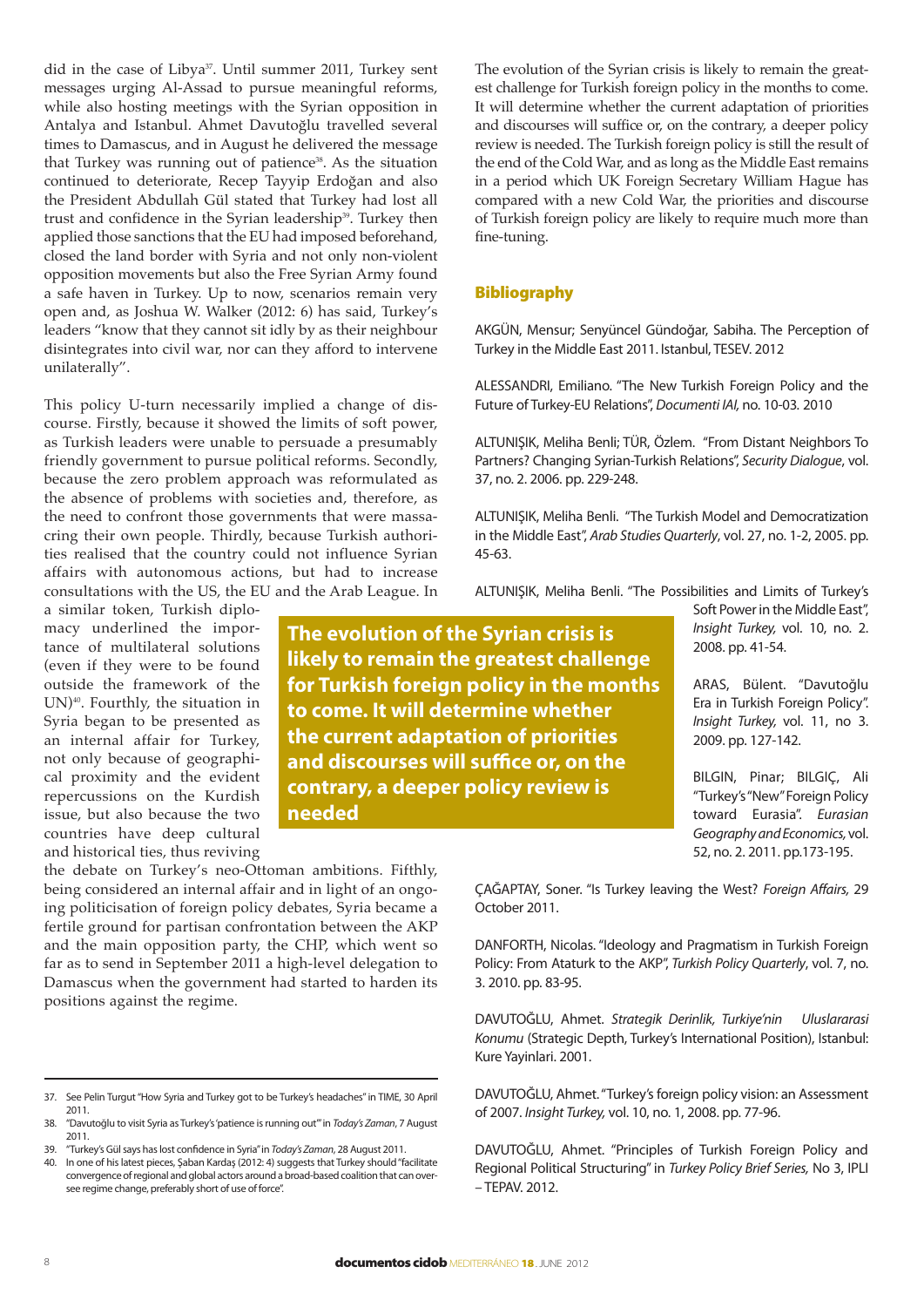did in the case of Libya<sup>37</sup>. Until summer 2011, Turkey sent messages urging Al-Assad to pursue meaningful reforms, while also hosting meetings with the Syrian opposition in Antalya and Istanbul. Ahmet Davutoğlu travelled several times to Damascus, and in August he delivered the message that Turkey was running out of patience<sup>38</sup>. As the situation continued to deteriorate, Recep Tayyip Erdoğan and also the President Abdullah Gül stated that Turkey had lost all trust and confidence in the Syrian leadership<sup>39</sup>. Turkey then applied those sanctions that the EU had imposed beforehand, closed the land border with Syria and not only non-violent opposition movements but also the Free Syrian Army found a safe haven in Turkey. Up to now, scenarios remain very open and, as Joshua W. Walker (2012: 6) has said, Turkey's leaders "know that they cannot sit idly by as their neighbour disintegrates into civil war, nor can they afford to intervene unilaterally".

This policy U-turn necessarily implied a change of discourse. Firstly, because it showed the limits of soft power, as Turkish leaders were unable to persuade a presumably friendly government to pursue political reforms. Secondly, because the zero problem approach was reformulated as the absence of problems with societies and, therefore, as the need to confront those governments that were massacring their own people. Thirdly, because Turkish authorities realised that the country could not influence Syrian affairs with autonomous actions, but had to increase consultations with the US, the EU and the Arab League. In

a similar token, Turkish diplomacy underlined the importance of multilateral solutions (even if they were to be found outside the framework of the UN)40. Fourthly, the situation in Syria began to be presented as an internal affair for Turkey, not only because of geographical proximity and the evident repercussions on the Kurdish issue, but also because the two countries have deep cultural and historical ties, thus reviving

the debate on Turkey's neo-Ottoman ambitions. Fifthly, being considered an internal affair and in light of an ongoing politicisation of foreign policy debates, Syria became a fertile ground for partisan confrontation between the AKP and the main opposition party, the CHP, which went so far as to send in September 2011 a high-level delegation to Damascus when the government had started to harden its positions against the regime.

The evolution of the Syrian crisis is likely to remain the greatest challenge for Turkish foreign policy in the months to come. It will determine whether the current adaptation of priorities and discourses will suffice or, on the contrary, a deeper policy review is needed. The Turkish foreign policy is still the result of the end of the Cold War, and as long as the Middle East remains in a period which UK Foreign Secretary William Hague has compared with a new Cold War, the priorities and discourse of Turkish foreign policy are likely to require much more than fine-tuning.

### Bibliography

AKGÜN, Mensur; Senyüncel Gündoğar, Sabiha. The Perception of Turkey in the Middle East 2011. Istanbul, TESEV. 2012

ALESSANDRI, Emiliano. "The New Turkish Foreign Policy and the Future of Turkey-EU Relations", *Documenti IAI,* no. 10-03*.* 2010

ALTUNIŞIK, Meliha Benli; TÜR, Özlem. "From Distant Neighbors To Partners? Changing Syrian-Turkish Relations", *Security Dialogue*, vol. 37, no. 2. 2006. pp. 229-248.

ALTUNIŞIK, Meliha Benli. "The Turkish Model and Democratization in the Middle East", *Arab Studies Quarterly*, vol. 27, no. 1-2, 2005. pp. 45-63.

ALTUNIŞIK, Meliha Benli. "The Possibilities and Limits of Turkey's

**The evolution of the Syrian crisis is likely to remain the greatest challenge for Turkish foreign policy in the months to come. It will determine whether the current adaptation of priorities and discourses will suffice or, on the contrary, a deeper policy review is needed**

Soft Power in the Middle East", *Insight Turkey,* vol. 10, no. 2. 2008. pp. 41-54.

ARAS, Bülent. "Davutoğlu Era in Turkish Foreign Policy". *Insight Turkey,* vol. 11, no 3. 2009. pp. 127-142.

BILGIN, Pinar; BILGIÇ, Ali "Turkey's "New" Foreign Policy toward Eurasia". *Eurasian Geography and Economics,* vol. 52, no. 2. 2011. pp.173-195.

ÇAĞAPTAY, Soner. "Is Turkey leaving the West? *Foreign Affairs,* 29 October 2011.

DANFORTH, Nicolas. "Ideology and Pragmatism in Turkish Foreign Policy: From Ataturk to the AKP", *Turkish Policy Quarterly*, vol. 7, no. 3. 2010. pp. 83-95.

DAVUTOĞLU, Ahmet. *Strategik Derinlik, Turkiye'nin Uluslararasi Konumu* (Strategic Depth, Turkey's International Position), Istanbul: Kure Yayinlari. 2001.

DAVUTOĞLU, Ahmet. "Turkey's foreign policy vision: an Assessment of 2007. *Insight Turkey,* vol. 10, no. 1, 2008. pp. 77-96.

DAVUTOĞLU, Ahmet. "Principles of Turkish Foreign Policy and Regional Political Structuring" in *Turkey Policy Brief Series,* No 3, IPLI – TEPAV. 2012.

<sup>37.</sup> See Pelin Turgut "How Syria and Turkey got to be Turkey's headaches" in TIME, 30 April 2011.

<sup>38.</sup> "Davutoğlu to visit Syria as Turkey's 'patience is running out'" in *Today's Zaman*, 7 August 2011.

<sup>39.</sup> "Turkey's Gül says has lost confidence in Syria" in *Today's Zaman*, 28 August 2011.

<sup>40.</sup> In one of his latest pieces, Şaban Kardaş (2012: 4) suggests that Turkey should "facilitate convergence of regional and global actors around a broad-based coalition that can oversee regime change, preferably short of use of force".